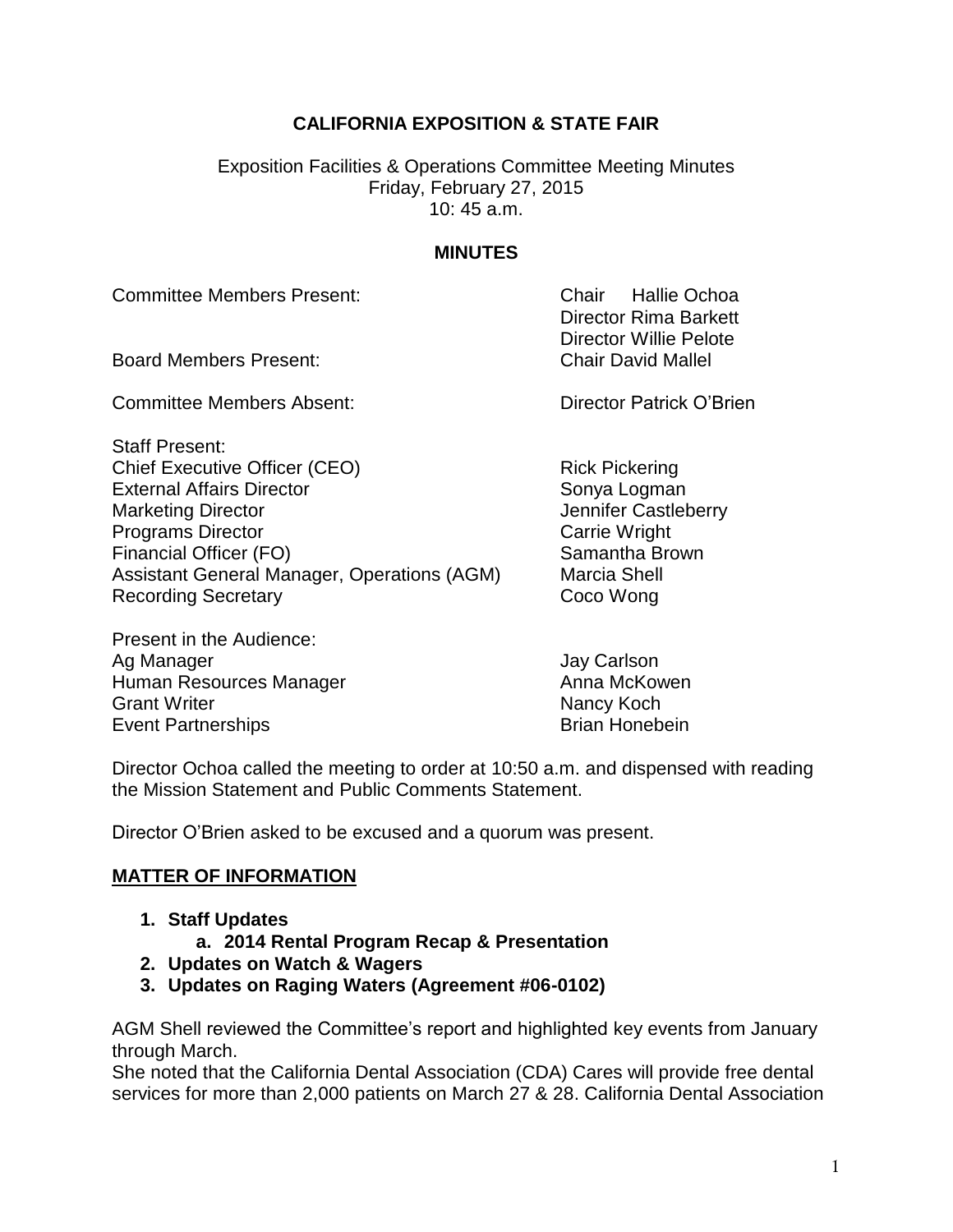## **CALIFORNIA EXPOSITION & STATE FAIR**

Exposition Facilities & Operations Committee Meeting Minutes Friday, February 27, 2015 10: 45 a.m.

## **MINUTES**

Committee Members Present: Chair Hallie Ochoa

Board Members Present: Chair David Mallel

Committee Members Absent: Committee Members Absent:

Staff Present: Chief Executive Officer (CEO) Rick Pickering External Affairs Director Sonya Logman Marketing Director **Marketing Director** Marketing Director **Programs Director** Carrie Wright Financial Officer (FO) Samantha Brown Assistant General Manager, Operations (AGM) Marcia Shell Recording Secretary **Coco Wong** 

Present in the Audience: Ag Manager **Agency Carlson** Jay Carlson Human Resources Manager Anna McKowen Grant Writer **Nancy Koch** Nancy Koch Event Partnerships **Brian Honebein** Brian Honebein

Director Rima Barkett Director Willie Pelote

Director Ochoa called the meeting to order at 10:50 a.m. and dispensed with reading the Mission Statement and Public Comments Statement.

Director O'Brien asked to be excused and a quorum was present.

## **MATTER OF INFORMATION**

- **1. Staff Updates** 
	- **a. 2014 Rental Program Recap & Presentation**
- **2. Updates on Watch & Wagers**
- **3. Updates on Raging Waters (Agreement #06-0102)**

AGM Shell reviewed the Committee's report and highlighted key events from January through March.

She noted that the California Dental Association (CDA) Cares will provide free dental services for more than 2,000 patients on March 27 & 28. California Dental Association